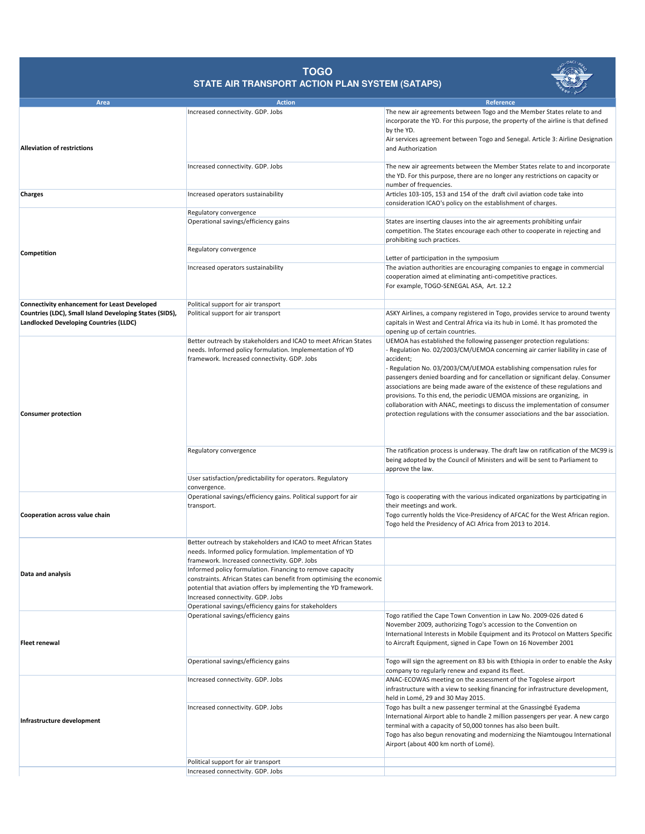

## **TOGO STATE AIR TRANSPORT ACTION PLAN SYSTEM (SATAPS)**

| Area                                                                                                     | <b>Action</b>                                                                                                                                                                                                                                                                                       | Reference                                                                                                                                                                                                                                                                                                                                                                                                                                                                                                                                                                                                                                               |
|----------------------------------------------------------------------------------------------------------|-----------------------------------------------------------------------------------------------------------------------------------------------------------------------------------------------------------------------------------------------------------------------------------------------------|---------------------------------------------------------------------------------------------------------------------------------------------------------------------------------------------------------------------------------------------------------------------------------------------------------------------------------------------------------------------------------------------------------------------------------------------------------------------------------------------------------------------------------------------------------------------------------------------------------------------------------------------------------|
|                                                                                                          | Increased connectivity. GDP. Jobs                                                                                                                                                                                                                                                                   | The new air agreements between Togo and the Member States relate to and<br>incorporate the YD. For this purpose, the property of the airline is that defined<br>by the YD.                                                                                                                                                                                                                                                                                                                                                                                                                                                                              |
| <b>Alleviation of restrictions</b>                                                                       |                                                                                                                                                                                                                                                                                                     | Air services agreement between Togo and Senegal. Article 3: Airline Designation<br>and Authorization                                                                                                                                                                                                                                                                                                                                                                                                                                                                                                                                                    |
|                                                                                                          | Increased connectivity. GDP. Jobs                                                                                                                                                                                                                                                                   | The new air agreements between the Member States relate to and incorporate<br>the YD. For this purpose, there are no longer any restrictions on capacity or<br>number of frequencies.                                                                                                                                                                                                                                                                                                                                                                                                                                                                   |
| <b>Charges</b>                                                                                           | Increased operators sustainability                                                                                                                                                                                                                                                                  | Articles 103-105, 153 and 154 of the draft civil aviation code take into<br>consideration ICAO's policy on the establishment of charges.                                                                                                                                                                                                                                                                                                                                                                                                                                                                                                                |
|                                                                                                          | Regulatory convergence                                                                                                                                                                                                                                                                              |                                                                                                                                                                                                                                                                                                                                                                                                                                                                                                                                                                                                                                                         |
|                                                                                                          | Operational savings/efficiency gains                                                                                                                                                                                                                                                                | States are inserting clauses into the air agreements prohibiting unfair<br>competition. The States encourage each other to cooperate in rejecting and<br>prohibiting such practices.                                                                                                                                                                                                                                                                                                                                                                                                                                                                    |
| Competition                                                                                              | Regulatory convergence                                                                                                                                                                                                                                                                              | Letter of participation in the symposium                                                                                                                                                                                                                                                                                                                                                                                                                                                                                                                                                                                                                |
|                                                                                                          | Increased operators sustainability                                                                                                                                                                                                                                                                  | The aviation authorities are encouraging companies to engage in commercial<br>cooperation aimed at eliminating anti-competitive practices.<br>For example, TOGO-SENEGAL ASA, Art. 12.2                                                                                                                                                                                                                                                                                                                                                                                                                                                                  |
| <b>Connectivity enhancement for Least Developed</b>                                                      | Political support for air transport                                                                                                                                                                                                                                                                 |                                                                                                                                                                                                                                                                                                                                                                                                                                                                                                                                                                                                                                                         |
| Countries (LDC), Small Island Developing States (SIDS),<br><b>Landlocked Developing Countries (LLDC)</b> | Political support for air transport                                                                                                                                                                                                                                                                 | ASKY Airlines, a company registered in Togo, provides service to around twenty<br>capitals in West and Central Africa via its hub in Lomé. It has promoted the<br>opening up of certain countries.                                                                                                                                                                                                                                                                                                                                                                                                                                                      |
| <b>Consumer protection</b>                                                                               | Better outreach by stakeholders and ICAO to meet African States<br>needs. Informed policy formulation. Implementation of YD<br>framework. Increased connectivity. GDP. Jobs                                                                                                                         | UEMOA has established the following passenger protection regulations:<br>Regulation No. 02/2003/CM/UEMOA concerning air carrier liability in case of<br>accident;<br>- Regulation No. 03/2003/CM/UEMOA establishing compensation rules for<br>passengers denied boarding and for cancellation or significant delay. Consumer<br>associations are being made aware of the existence of these regulations and<br>provisions. To this end, the periodic UEMOA missions are organizing, in<br>collaboration with ANAC, meetings to discuss the implementation of consumer<br>protection regulations with the consumer associations and the bar association. |
|                                                                                                          | Regulatory convergence<br>User satisfaction/predictability for operators. Regulatory                                                                                                                                                                                                                | The ratification process is underway. The draft law on ratification of the MC99 is<br>being adopted by the Council of Ministers and will be sent to Parliament to<br>approve the law.                                                                                                                                                                                                                                                                                                                                                                                                                                                                   |
|                                                                                                          | convergence.                                                                                                                                                                                                                                                                                        |                                                                                                                                                                                                                                                                                                                                                                                                                                                                                                                                                                                                                                                         |
| Cooperation across value chain                                                                           | Operational savings/efficiency gains. Political support for air<br>transport.                                                                                                                                                                                                                       | Togo is cooperating with the various indicated organizations by participating in<br>their meetings and work.<br>Togo currently holds the Vice-Presidency of AFCAC for the West African region.<br>Togo held the Presidency of ACI Africa from 2013 to 2014.                                                                                                                                                                                                                                                                                                                                                                                             |
|                                                                                                          | Better outreach by stakeholders and ICAO to meet African States<br>needs. Informed policy formulation. Implementation of YD<br>framework. Increased connectivity. GDP. Jobs                                                                                                                         |                                                                                                                                                                                                                                                                                                                                                                                                                                                                                                                                                                                                                                                         |
| Data and analysis                                                                                        | Informed policy formulation. Financing to remove capacity<br>constraints. African States can benefit from optimising the economic<br>potential that aviation offers by implementing the YD framework.<br>Increased connectivity. GDP. Jobs<br>Operational savings/efficiency gains for stakeholders |                                                                                                                                                                                                                                                                                                                                                                                                                                                                                                                                                                                                                                                         |
|                                                                                                          | Operational savings/efficiency gains                                                                                                                                                                                                                                                                | Togo ratified the Cape Town Convention in Law No. 2009-026 dated 6                                                                                                                                                                                                                                                                                                                                                                                                                                                                                                                                                                                      |
| <b>Fleet renewal</b>                                                                                     |                                                                                                                                                                                                                                                                                                     | November 2009, authorizing Togo's accession to the Convention on<br>International Interests in Mobile Equipment and its Protocol on Matters Specific<br>to Aircraft Equipment, signed in Cape Town on 16 November 2001                                                                                                                                                                                                                                                                                                                                                                                                                                  |
|                                                                                                          | Operational savings/efficiency gains                                                                                                                                                                                                                                                                | Togo will sign the agreement on 83 bis with Ethiopia in order to enable the Asky<br>company to regularly renew and expand its fleet.                                                                                                                                                                                                                                                                                                                                                                                                                                                                                                                    |
| Infrastructure development                                                                               | Increased connectivity. GDP. Jobs                                                                                                                                                                                                                                                                   | ANAC-ECOWAS meeting on the assessment of the Togolese airport<br>infrastructure with a view to seeking financing for infrastructure development,<br>held in Lomé, 29 and 30 May 2015.                                                                                                                                                                                                                                                                                                                                                                                                                                                                   |
|                                                                                                          | Increased connectivity. GDP. Jobs                                                                                                                                                                                                                                                                   | Togo has built a new passenger terminal at the Gnassingbé Eyadema<br>International Airport able to handle 2 million passengers per year. A new cargo<br>terminal with a capacity of 50,000 tonnes has also been built.<br>Togo has also begun renovating and modernizing the Niamtougou International<br>Airport (about 400 km north of Lomé).                                                                                                                                                                                                                                                                                                          |
|                                                                                                          | Political support for air transport                                                                                                                                                                                                                                                                 |                                                                                                                                                                                                                                                                                                                                                                                                                                                                                                                                                                                                                                                         |
|                                                                                                          | Increased connectivity. GDP. Jobs                                                                                                                                                                                                                                                                   |                                                                                                                                                                                                                                                                                                                                                                                                                                                                                                                                                                                                                                                         |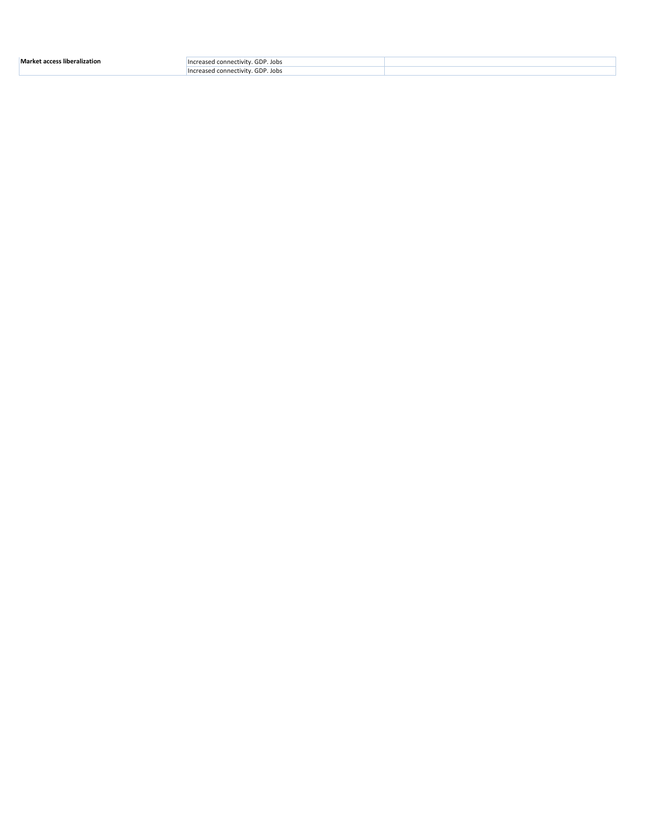| <b>Market</b><br>s liberalization<br>$-2000$ | GDP. Jobs<br>connect<br>ectivity       |  |
|----------------------------------------------|----------------------------------------|--|
|                                              | GDP. Jobs<br>ed connect.<br>…uvitv ± ′ |  |